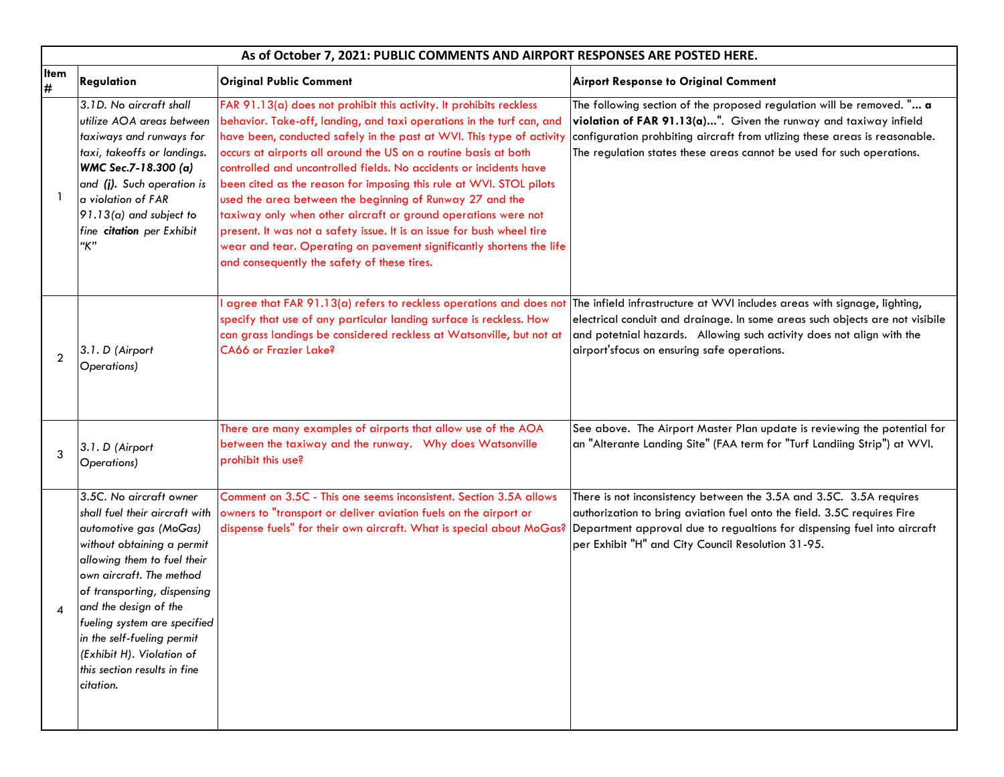|                | As of October 7, 2021: PUBLIC COMMENTS AND AIRPORT RESPONSES ARE POSTED HERE.                                                                                                                                                                                                                                                                                                |                                                                                                                                                                                                                                                                                                                                                                                                                                                                                                                                                                                                                                                                                                                                                                      |                                                                                                                                                                                                                                                                                                  |  |
|----------------|------------------------------------------------------------------------------------------------------------------------------------------------------------------------------------------------------------------------------------------------------------------------------------------------------------------------------------------------------------------------------|----------------------------------------------------------------------------------------------------------------------------------------------------------------------------------------------------------------------------------------------------------------------------------------------------------------------------------------------------------------------------------------------------------------------------------------------------------------------------------------------------------------------------------------------------------------------------------------------------------------------------------------------------------------------------------------------------------------------------------------------------------------------|--------------------------------------------------------------------------------------------------------------------------------------------------------------------------------------------------------------------------------------------------------------------------------------------------|--|
| Item<br>$\#$   | <b>Regulation</b>                                                                                                                                                                                                                                                                                                                                                            | <b>Original Public Comment</b>                                                                                                                                                                                                                                                                                                                                                                                                                                                                                                                                                                                                                                                                                                                                       | <b>Airport Response to Original Comment</b>                                                                                                                                                                                                                                                      |  |
|                | 3.1D. No aircraft shall<br>utilize AOA areas between<br>taxiways and runways for<br>taxi, takeoffs or landings.<br>WMC Sec.7-18.300 (a)<br>and (j). Such operation is<br>$\alpha$ violation of FAR<br>$ 91.13$ (a) and subject to<br>fine citation per Exhibit<br>"K"                                                                                                        | FAR 91.13(a) does not prohibit this activity. It prohibits reckless<br>behavior. Take-off, landing, and taxi operations in the turf can, and<br>have been, conducted safely in the past at WVI. This type of activity<br>occurs at airports all around the US on a routine basis at both<br>controlled and uncontrolled fields. No accidents or incidents have<br>been cited as the reason for imposing this rule at WVI. STOL pilots<br>used the area between the beginning of Runway 27 and the<br>taxiway only when other aircraft or ground operations were not<br>present. It was not a safety issue. It is an issue for bush wheel tire<br>wear and tear. Operating on pavement significantly shortens the life<br>and consequently the safety of these tires. | The following section of the proposed regulation will be removed. " a<br>violation of FAR 91.13(a)". Given the runway and taxiway infield<br>configuration prohbiting aircraft from utlizing these areas is reasonable.<br>The regulation states these areas cannot be used for such operations. |  |
| $\overline{2}$ | 3.1. D (Airport<br>Operations)                                                                                                                                                                                                                                                                                                                                               | agree that FAR 91.13(a) refers to reckless operations and does not<br>specify that use of any particular landing surface is reckless. How<br>can grass landings be considered reckless at Watsonville, but not at<br>CA66 or Frazier Lake?                                                                                                                                                                                                                                                                                                                                                                                                                                                                                                                           | The infield infrastructure at WVI includes areas with signage, lighting,<br>electrical conduit and drainage. In some areas such objects are not visibile<br>and potetnial hazards. Allowing such activity does not align with the<br>airport'sfocus on ensuring safe operations.                 |  |
| 3              | 3.1. D (Airport<br>Operations)                                                                                                                                                                                                                                                                                                                                               | There are many examples of airports that allow use of the AOA<br>between the taxiway and the runway.  Why does Watsonville<br>prohibit this use?                                                                                                                                                                                                                                                                                                                                                                                                                                                                                                                                                                                                                     | See above. The Airport Master Plan update is reviewing the potential for<br>an "Alterante Landing Site" (FAA term for "Turf Landiing Strip") at WVI.                                                                                                                                             |  |
|                | 3.5C. No aircraft owner<br>shall fuel their aircraft with<br>automotive gas (MoGas)<br>without obtaining a permit<br>allowing them to fuel their<br>own aircraft. The method<br>of transporting, dispensing<br>and the design of the<br>fueling system are specified<br>in the self-fueling permit<br>(Exhibit H). Violation of<br>this section results in fine<br>citation. | Comment on 3.5C - This one seems inconsistent. Section 3.5A allows<br>owners to "transport or deliver aviation fuels on the airport or<br>dispense fuels" for their own aircraft. What is special about MoGas?                                                                                                                                                                                                                                                                                                                                                                                                                                                                                                                                                       | There is not inconsistency between the 3.5A and 3.5C. 3.5A requires<br>authorization to bring aviation fuel onto the field. 3.5C requires Fire<br>Department approval due to regualtions for dispensing fuel into aircraft<br>per Exhibit "H" and City Council Resolution 31-95.                 |  |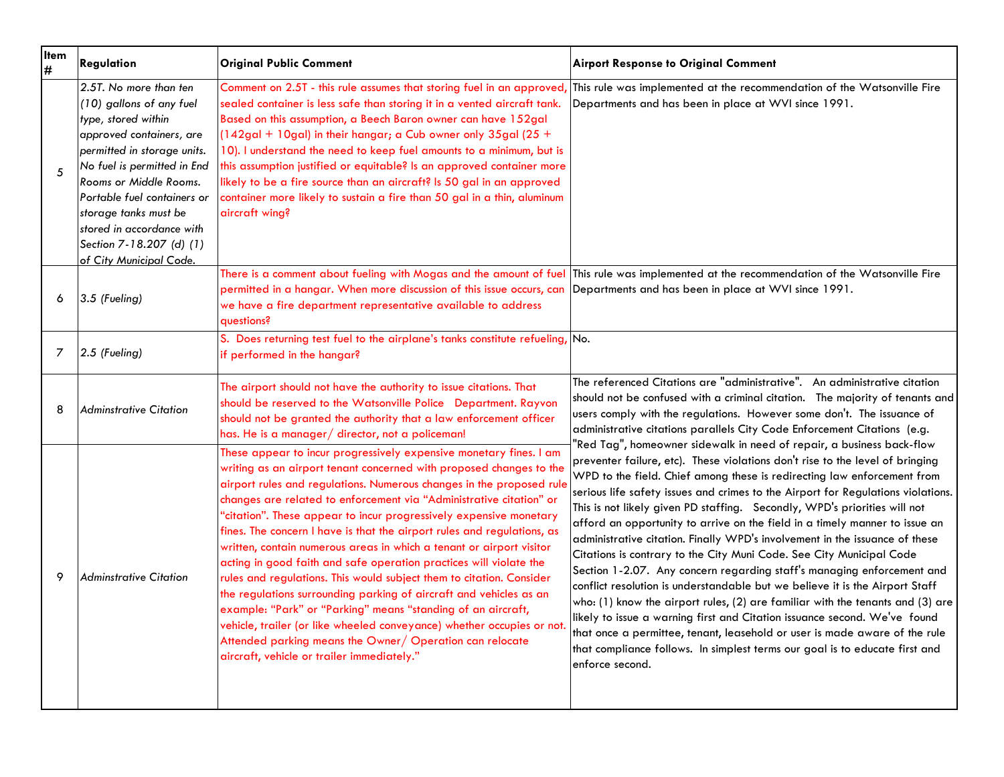| <b>Item</b><br>$\#$ | Regulation                                                                                                                                                                                                                                                                                                                                | <b>Original Public Comment</b>                                                                                                                                                                                                                                                                                                                                                                                                                                                                                                                                                                                                                                                                                                                                                                                                                                                                                                                                                            | <b>Airport Response to Original Comment</b>                                                                                                                                                                                                                                                                                                                                                                                                                                                                                                                                                                                                                                                                                                                                                                                                                                                                                                                                                                                                                                                                                                       |
|---------------------|-------------------------------------------------------------------------------------------------------------------------------------------------------------------------------------------------------------------------------------------------------------------------------------------------------------------------------------------|-------------------------------------------------------------------------------------------------------------------------------------------------------------------------------------------------------------------------------------------------------------------------------------------------------------------------------------------------------------------------------------------------------------------------------------------------------------------------------------------------------------------------------------------------------------------------------------------------------------------------------------------------------------------------------------------------------------------------------------------------------------------------------------------------------------------------------------------------------------------------------------------------------------------------------------------------------------------------------------------|---------------------------------------------------------------------------------------------------------------------------------------------------------------------------------------------------------------------------------------------------------------------------------------------------------------------------------------------------------------------------------------------------------------------------------------------------------------------------------------------------------------------------------------------------------------------------------------------------------------------------------------------------------------------------------------------------------------------------------------------------------------------------------------------------------------------------------------------------------------------------------------------------------------------------------------------------------------------------------------------------------------------------------------------------------------------------------------------------------------------------------------------------|
| 5                   | 2.5T. No more than ten<br>(10) gallons of any fuel<br>type, stored within<br>approved containers, are<br>permitted in storage units.<br>No fuel is permitted in End<br>Rooms or Middle Rooms.<br>Portable fuel containers or<br>storage tanks must be<br>stored in accordance with<br>Section 7-18.207 (d) (1)<br>of City Municipal Code. | Comment on 2.5T - this rule assumes that storing fuel in an approved,<br>sealed container is less safe than storing it in a vented aircraft tank.<br>Based on this assumption, a Beech Baron owner can have 152gal<br>(142gal + 10gal) in their hangar; a Cub owner only 35gal (25 +<br>10). I understand the need to keep fuel amounts to a minimum, but is<br>this assumption justified or equitable? Is an approved container more<br>likely to be a fire source than an aircraft? Is 50 gal in an approved<br>container more likely to sustain a fire than 50 gal in a thin, aluminum<br>aircraft wing?                                                                                                                                                                                                                                                                                                                                                                               | This rule was implemented at the recommendation of the Watsonville Fire<br>Departments and has been in place at WVI since 1991.                                                                                                                                                                                                                                                                                                                                                                                                                                                                                                                                                                                                                                                                                                                                                                                                                                                                                                                                                                                                                   |
| 6                   | $3.5$ (Fueling)                                                                                                                                                                                                                                                                                                                           | permitted in a hangar. When more discussion of this issue occurs, can Departments and has been in place at WVI since 1991.<br>we have a fire department representative available to address<br>auestions?                                                                                                                                                                                                                                                                                                                                                                                                                                                                                                                                                                                                                                                                                                                                                                                 | There is a comment about fueling with Mogas and the amount of fuel This rule was implemented at the recommendation of the Watsonville Fire                                                                                                                                                                                                                                                                                                                                                                                                                                                                                                                                                                                                                                                                                                                                                                                                                                                                                                                                                                                                        |
| 7                   | $2.5$ (Fueling)                                                                                                                                                                                                                                                                                                                           | S. Does returning test fuel to the airplane's tanks constitute refueling, No.<br>if performed in the hangar?                                                                                                                                                                                                                                                                                                                                                                                                                                                                                                                                                                                                                                                                                                                                                                                                                                                                              |                                                                                                                                                                                                                                                                                                                                                                                                                                                                                                                                                                                                                                                                                                                                                                                                                                                                                                                                                                                                                                                                                                                                                   |
| 8                   | <b>Adminstrative Citation</b>                                                                                                                                                                                                                                                                                                             | The airport should not have the authority to issue citations. That<br>should be reserved to the Watsonville Police Department. Rayvon<br>should not be granted the authority that a law enforcement officer<br>has. He is a manager/ director, not a policeman!                                                                                                                                                                                                                                                                                                                                                                                                                                                                                                                                                                                                                                                                                                                           | The referenced Citations are "administrative". An administrative citation<br>should not be confused with a criminal citation. The majority of tenants and<br>users comply with the regulations. However some don't. The issuance of<br>administrative citations parallels City Code Enforcement Citations (e.g.                                                                                                                                                                                                                                                                                                                                                                                                                                                                                                                                                                                                                                                                                                                                                                                                                                   |
| 9                   | <b>Adminstrative Citation</b>                                                                                                                                                                                                                                                                                                             | These appear to incur progressively expensive monetary fines. I am<br>writing as an airport tenant concerned with proposed changes to the<br>airport rules and regulations. Numerous changes in the proposed rule<br>changes are related to enforcement via "Administrative citation" or<br>"citation". These appear to incur progressively expensive monetary<br>fines. The concern I have is that the airport rules and regulations, as<br>written, contain numerous areas in which a tenant or airport visitor<br>acting in good faith and safe operation practices will violate the<br>rules and regulations. This would subject them to citation. Consider<br>the regulations surrounding parking of aircraft and vehicles as an<br>example: "Park" or "Parking" means "standing of an aircraft,<br>vehicle, trailer (or like wheeled conveyance) whether occupies or not.<br>Attended parking means the Owner/ Operation can relocate<br>aircraft, vehicle or trailer immediately." | "Red Tag", homeowner sidewalk in need of repair, a business back-flow<br>preventer failure, etc). These violations don't rise to the level of bringing<br>WPD to the field. Chief among these is redirecting law enforcement from<br>serious life safety issues and crimes to the Airport for Regulations violations.<br>This is not likely given PD staffing. Secondly, WPD's priorities will not<br>afford an opportunity to arrive on the field in a timely manner to issue an<br>administrative citation. Finally WPD's involvement in the issuance of these<br>Citations is contrary to the City Muni Code. See City Municipal Code<br>Section 1-2.07. Any concern regarding staff's managing enforcement and<br>conflict resolution is understandable but we believe it is the Airport Staff<br>who: (1) know the airport rules, (2) are familiar with the tenants and (3) are<br>likely to issue a warning first and Citation issuance second. We've found<br>that once a permittee, tenant, leasehold or user is made aware of the rule<br>that compliance follows. In simplest terms our goal is to educate first and<br>enforce second. |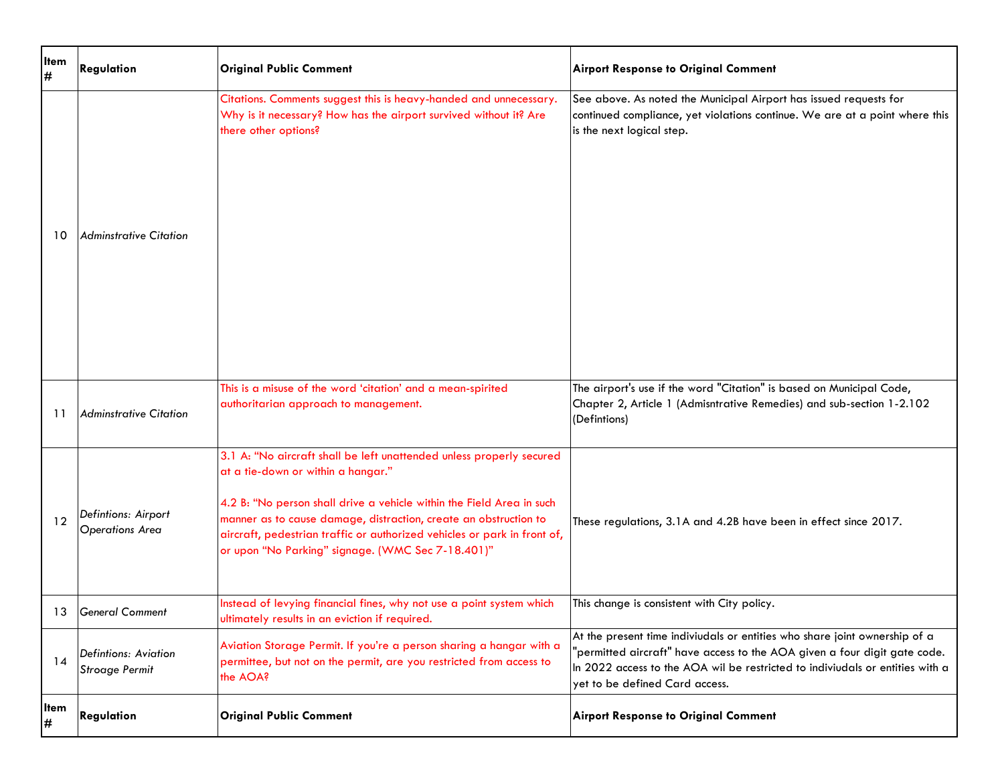| <b>Item</b><br># | Regulation                                    | <b>Original Public Comment</b>                                                                                                                                                                                                                                                                                                                                                           | <b>Airport Response to Original Comment</b>                                                                                                                                                                                                                                |
|------------------|-----------------------------------------------|------------------------------------------------------------------------------------------------------------------------------------------------------------------------------------------------------------------------------------------------------------------------------------------------------------------------------------------------------------------------------------------|----------------------------------------------------------------------------------------------------------------------------------------------------------------------------------------------------------------------------------------------------------------------------|
| 10               | Adminstrative Citation                        | Citations. Comments suggest this is heavy-handed and unnecessary.<br>Why is it necessary? How has the airport survived without it? Are<br>there other options?                                                                                                                                                                                                                           | See above. As noted the Municipal Airport has issued requests for<br>continued compliance, yet violations continue. We are at a point where this<br>is the next logical step.                                                                                              |
| 11               | Adminstrative Citation                        | This is a misuse of the word 'citation' and a mean-spirited<br>authoritarian approach to management.                                                                                                                                                                                                                                                                                     | The airport's use if the word "Citation" is based on Municipal Code,<br>Chapter 2, Article 1 (Admisntrative Remedies) and sub-section 1-2.102<br>(Defintions)                                                                                                              |
| 12               | Defintions: Airport<br><b>Operations Area</b> | 3.1 A: "No aircraft shall be left unattended unless properly secured<br>at a tie-down or within a hangar."<br>4.2 B: "No person shall drive a vehicle within the Field Area in such<br>manner as to cause damage, distraction, create an obstruction to<br>aircraft, pedestrian traffic or authorized vehicles or park in front of,<br>or upon "No Parking" signage. (WMC Sec 7-18.401)" | These regulations, 3.1A and 4.2B have been in effect since 2017.                                                                                                                                                                                                           |
|                  | 13 General Comment                            | Instead of levying financial fines, why not use a point system which<br>ultimately results in an eviction if required.                                                                                                                                                                                                                                                                   | This change is consistent with City policy.                                                                                                                                                                                                                                |
| 14               | Defintions: Aviation<br><b>Stroage Permit</b> | Aviation Storage Permit. If you're a person sharing a hangar with a<br>permittee, but not on the permit, are you restricted from access to<br>the AOA?                                                                                                                                                                                                                                   | At the present time indiviudals or entities who share joint ownership of a<br>'permitted aircraft" have access to the AOA given a four digit gate code.<br>In 2022 access to the AOA wil be restricted to indiviudals or entities with a<br>yet to be defined Card access. |
| litem<br>#       | Regulation                                    | <b>Original Public Comment</b>                                                                                                                                                                                                                                                                                                                                                           | <b>Airport Response to Original Comment</b>                                                                                                                                                                                                                                |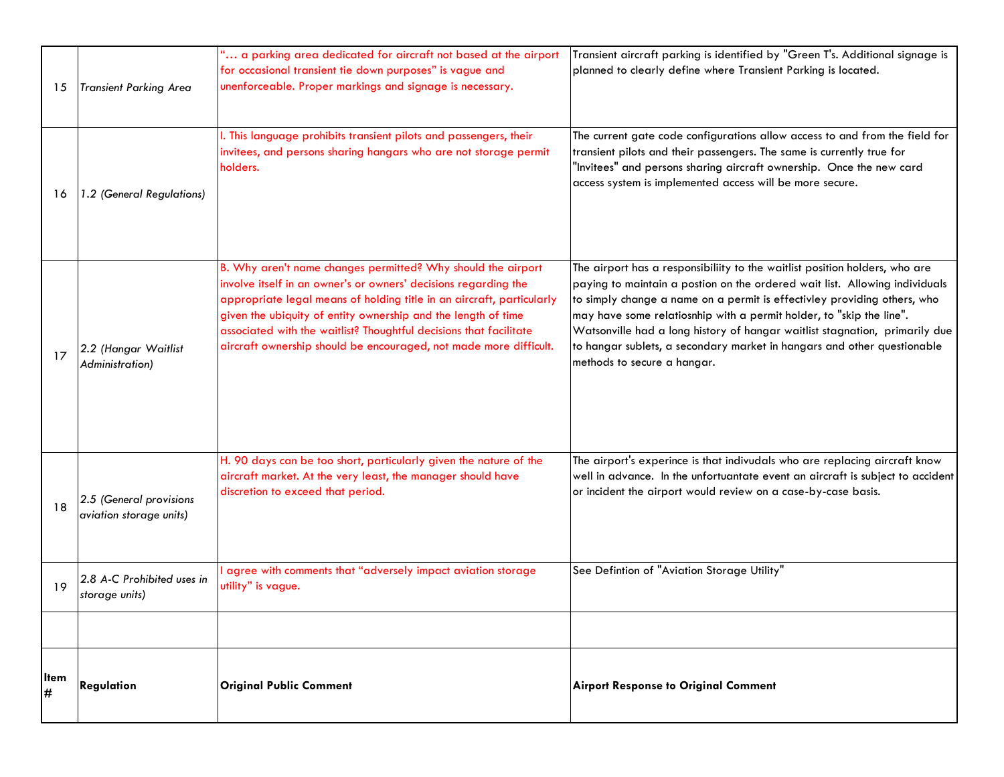| 15         | <b>Transient Parking Area</b>                      | " a parking area dedicated for aircraft not based at the airport<br>for occasional transient tie down purposes" is vague and<br>unenforceable. Proper markings and signage is necessary.                                                                                                                                                                                                                             | Transient aircraft parking is identified by "Green T's. Additional signage is<br>planned to clearly define where Transient Parking is located.                                                                                                                                                                                                                                                                                                                                                          |
|------------|----------------------------------------------------|----------------------------------------------------------------------------------------------------------------------------------------------------------------------------------------------------------------------------------------------------------------------------------------------------------------------------------------------------------------------------------------------------------------------|---------------------------------------------------------------------------------------------------------------------------------------------------------------------------------------------------------------------------------------------------------------------------------------------------------------------------------------------------------------------------------------------------------------------------------------------------------------------------------------------------------|
| 16         | 1.2 (General Regulations)                          | I. This language prohibits transient pilots and passengers, their<br>invitees, and persons sharing hangars who are not storage permit<br>holders.                                                                                                                                                                                                                                                                    | The current gate code configurations allow access to and from the field for<br>transient pilots and their passengers. The same is currently true for<br>"Invitees" and persons sharing aircraft ownership. Once the new card<br>access system is implemented access will be more secure.                                                                                                                                                                                                                |
| 17         | 2.2 (Hangar Waitlist<br>Administration)            | B. Why aren't name changes permitted? Why should the airport<br>involve itself in an owner's or owners' decisions regarding the<br>appropriate legal means of holding title in an aircraft, particularly<br>given the ubiquity of entity ownership and the length of time<br>associated with the waitlist? Thoughtful decisions that facilitate<br>aircraft ownership should be encouraged, not made more difficult. | The airport has a responsibiliity to the waitlist position holders, who are<br>paying to maintain a postion on the ordered wait list. Allowing individuals<br>to simply change a name on a permit is effectivley providing others, who<br>may have some relatiosnhip with a permit holder, to "skip the line".<br>Watsonville had a long history of hangar waitlist stagnation, primarily due<br>to hangar sublets, a secondary market in hangars and other questionable<br>methods to secure a hangar. |
| 18         | 2.5 (General provisions<br>aviation storage units) | H. 90 days can be too short, particularly given the nature of the<br>aircraft market. At the very least, the manager should have<br>discretion to exceed that period.                                                                                                                                                                                                                                                | The airport's experince is that indivudals who are replacing aircraft know<br>well in advance. In the unfortuantate event an aircraft is subject to accident<br>or incident the airport would review on a case-by-case basis.                                                                                                                                                                                                                                                                           |
| 19         | 2.8 A-C Prohibited uses in<br>storage units)       | agree with comments that "adversely impact aviation storage<br>utility" is vague.                                                                                                                                                                                                                                                                                                                                    | See Defintion of "Aviation Storage Utility"                                                                                                                                                                                                                                                                                                                                                                                                                                                             |
|            |                                                    |                                                                                                                                                                                                                                                                                                                                                                                                                      |                                                                                                                                                                                                                                                                                                                                                                                                                                                                                                         |
| lltem<br># | Regulation                                         | <b>Original Public Comment</b>                                                                                                                                                                                                                                                                                                                                                                                       | <b>Airport Response to Original Comment</b>                                                                                                                                                                                                                                                                                                                                                                                                                                                             |